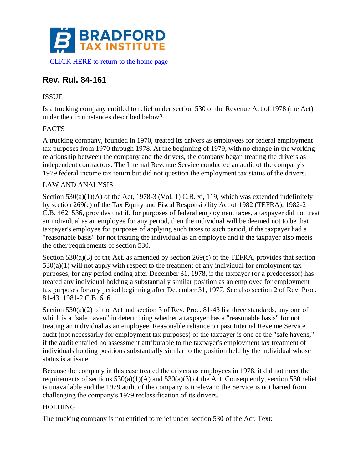

# **Rev. Rul. 84-161**

## ISSUE

Is a trucking company entitled to relief under section 530 of the Revenue Act of 1978 (the Act) under the circumstances described below?

### FACTS

A trucking company, founded in 1970, treated its drivers as employees for federal employment tax purposes from 1970 through 1978. At the beginning of 1979, with no change in the working relationship between the company and the drivers, the company began treating the drivers as independent contractors. The Internal Revenue Service conducted an audit of the company's 1979 federal income tax return but did not question the employment tax status of the drivers.

### LAW AND ANALYSIS

Section 530(a)(1)(A) of the Act, 1978-3 (Vol. 1) C.B. xi, 119, which was extended indefinitely by section 269(c) of the Tax Equity and Fiscal Responsibility Act of 1982 (TEFRA), 1982-2 C.B. 462, 536, provides that if, for purposes of federal employment taxes, a taxpayer did not treat an individual as an employee for any period, then the individual will be deemed not to be that taxpayer's employee for purposes of applying such taxes to such period, if the taxpayer had a "reasonable basis" for not treating the individual as an employee and if the taxpayer also meets the other requirements of section 530.

Section 530(a)(3) of the Act, as amended by section 269(c) of the TEFRA, provides that section  $530(a)(1)$  will not apply with respect to the treatment of any individual for employment tax purposes, for any period ending after December 31, 1978, if the taxpayer (or a predecessor) has treated any individual holding a substantially similar position as an employee for employment tax purposes for any period beginning after December 31, 1977. See also section 2 of Rev. Proc. 81-43, 1981-2 C.B. 616.

Section 530(a)(2) of the Act and section 3 of Rev. Proc.  $81-43$  list three standards, any one of which is a "safe haven" in determining whether a taxpayer has a "reasonable basis" for not treating an individual as an employee. Reasonable reliance on past Internal Revenue Service audit (not necessarily for employment tax purposes) of the taxpayer is one of the "safe havens," if the audit entailed no assessment attributable to the taxpayer's employment tax treatment of individuals holding positions substantially similar to the position held by the individual whose status is at issue.

Because the company in this case treated the drivers as employees in 1978, it did not meet the requirements of sections  $530(a)(1)(A)$  and  $530(a)(3)$  of the Act. Consequently, section 530 relief is unavailable and the 1979 audit of the company is irrelevant; the Service is not barred from challenging the company's 1979 reclassification of its drivers.

### HOLDING

The trucking company is not entitled to relief under section 530 of the Act. Text: